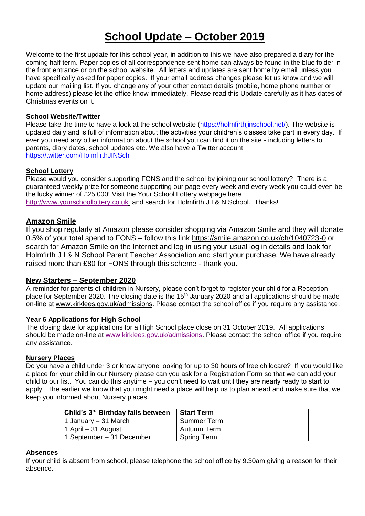# **School Update – October 2019**

Welcome to the first update for this school year, in addition to this we have also prepared a diary for the coming half term. Paper copies of all correspondence sent home can always be found in the blue folder in the front entrance or on the school website. All letters and updates are sent home by email unless you have specifically asked for paper copies. If your email address changes please let us know and we will update our mailing list. If you change any of your other contact details (mobile, home phone number or home address) please let the office know immediately. Please read this Update carefully as it has dates of Christmas events on it.

# **School Website/Twitter**

Please take the time to have a look at the school website [\(https://holmfirthjinschool.net/\)](https://holmfirthjinschool.net/). The website is updated daily and is full of information about the activities your children's classes take part in every day. If ever you need any other information about the school you can find it on the site - including letters to parents, diary dates, school updates etc. We also have a Twitter account <https://twitter.com/HolmfirthJINSch>

## **School Lottery**

Please would you consider supporting FONS and the school by joining our school lottery? There is a guaranteed weekly prize for someone supporting our page every week and every week you could even be the lucky winner of £25,000! Visit the Your School Lottery webpage here [http://www.yourschoollottery.co.uk](http://www.yourschoollottery.co.uk/) and search for Holmfirth J I & N School. Thanks!

## **Amazon Smile**

If you shop regularly at Amazon please consider shopping via Amazon Smile and they will donate 0.5% of your total spend to FONS – follow this link <https://smile.amazon.co.uk/ch/1040723-0> or search for Amazon Smile on the Internet and log in using your usual log in details and look for Holmfirth J I & N School Parent Teacher Association and start your purchase. We have already raised more than £80 for FONS through this scheme - thank you.

# **New Starters – September 2020**

A reminder for parents of children in Nursery, please don't forget to register your child for a Reception place for September 2020. The closing date is the 15<sup>th</sup> January 2020 and all applications should be made on-line at [www.kirklees.gov.uk/admissions.](http://www.kirklees.gov.uk/admissions) Please contact the school office if you require any assistance.

## **Year 6 Applications for High School**

The closing date for applications for a High School place close on 31 October 2019. All applications should be made on-line at [www.kirklees.gov.uk/admissions.](http://www.kirklees.gov.uk/admissions) Please contact the school office if you require any assistance.

## **Nursery Places**

Do you have a child under 3 or know anyone looking for up to 30 hours of free childcare? If you would like a place for your child in our Nursery please can you ask for a Registration Form so that we can add your child to our list. You can do this anytime – you don't need to wait until they are nearly ready to start to apply. The earlier we know that you might need a place will help us to plan ahead and make sure that we keep you informed about Nursery places.

| Child's 3 <sup>rd</sup> Birthday falls between | <b>Start Term</b>  |
|------------------------------------------------|--------------------|
| 1 January – 31 March                           | Summer Term        |
| 1 April – 31 August                            | Autumn Term        |
| 1 September – 31 December                      | <b>Spring Term</b> |

## **Absences**

If your child is absent from school, please telephone the school office by 9.30am giving a reason for their absence.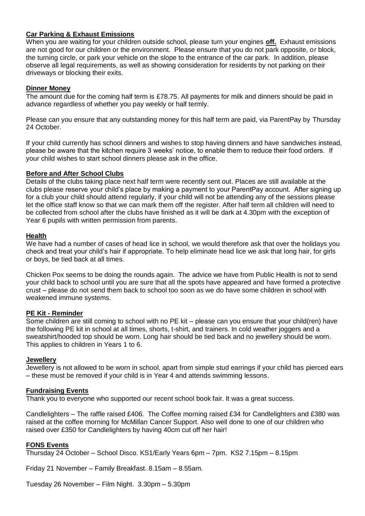# **Car Parking & Exhaust Emissions**

When you are waiting for your children outside school, please turn your engines **off.** Exhaust emissions are not good for our children or the environment. Please ensure that you do not park opposite, or block, the turning circle, or park your vehicle on the slope to the entrance of the car park. In addition, please observe all legal requirements, as well as showing consideration for residents by not parking on their driveways or blocking their exits.

## **Dinner Money**

The amount due for the coming half term is £78.75. All payments for milk and dinners should be paid in advance regardless of whether you pay weekly or half termly.

Please can you ensure that any outstanding money for this half term are paid, via ParentPay by Thursday 24 October.

If your child currently has school dinners and wishes to stop having dinners and have sandwiches instead, please be aware that the kitchen require 3 weeks' notice, to enable them to reduce their food orders. If your child wishes to start school dinners please ask in the office.

## **Before and After School Clubs**

Details of the clubs taking place next half term were recently sent out. Places are still available at the clubs please reserve your child's place by making a payment to your ParentPay account. After signing up for a club your child should attend regularly, if your child will not be attending any of the sessions please let the office staff know so that we can mark them off the register. After half term all children will need to be collected from school after the clubs have finished as it will be dark at 4.30pm with the exception of Year 6 pupils with written permission from parents.

## **Health**

We have had a number of cases of head lice in school, we would therefore ask that over the holidays you check and treat your child's hair if appropriate. To help eliminate head lice we ask that long hair, for girls or boys, be tied back at all times.

Chicken Pox seems to be doing the rounds again. The advice we have from Public Health is not to send your child back to school until you are sure that all the spots have appeared and have formed a protective crust – please do not send them back to school too soon as we do have some children in school with weakened immune systems.

## **PE Kit - Reminder**

Some children are still coming to school with no PE kit – please can you ensure that your child(ren) have the following PE kit in school at all times, shorts, t-shirt, and trainers. In cold weather joggers and a sweatshirt/hooded top should be worn. Long hair should be tied back and no jewellery should be worn. This applies to children in Years 1 to 6.

## **Jewellery**

Jewellery is not allowed to be worn in school, apart from simple stud earrings if your child has pierced ears – these must be removed if your child is in Year 4 and attends swimming lessons.

## **Fundraising Events**

Thank you to everyone who supported our recent school book fair. It was a great success.

Candlelighters – The raffle raised £406. The Coffee morning raised £34 for Candlelighters and £380 was raised at the coffee morning for McMillan Cancer Support. Also well done to one of our children who raised over £350 for Candlelighters by having 40cm cut off her hair!

## **FONS Events**

Thursday 24 October – School Disco. KS1/Early Years 6pm – 7pm. KS2 7.15pm – 8.15pm

Friday 21 November – Family Breakfast. 8.15am – 8.55am.

Tuesday 26 November – Film Night. 3.30pm – 5.30pm